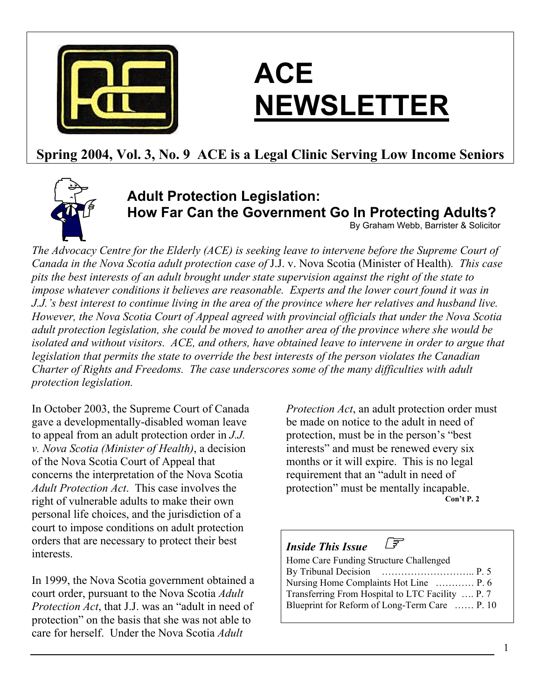

# **ACE NEWSLETTER**

# **Spring 2004, Vol. 3, No. 9 ACE is a Legal Clinic Serving Low Income Seniors**



# **Adult Protection Legislation: How Far Can the Government Go In Protecting Adults?**

By Graham Webb, Barrister & Solicitor

*The Advocacy Centre for the Elderly (ACE) is seeking leave to intervene before the Supreme Court of Canada in the Nova Scotia adult protection case of* J.J. v. Nova Scotia (Minister of Health)*. This case pits the best interests of an adult brought under state supervision against the right of the state to impose whatever conditions it believes are reasonable. Experts and the lower court found it was in J.J.'s best interest to continue living in the area of the province where her relatives and husband live. However, the Nova Scotia Court of Appeal agreed with provincial officials that under the Nova Scotia adult protection legislation, she could be moved to another area of the province where she would be isolated and without visitors. ACE, and others, have obtained leave to intervene in order to argue that legislation that permits the state to override the best interests of the person violates the Canadian Charter of Rights and Freedoms. The case underscores some of the many difficulties with adult protection legislation.* 

In October 2003, the Supreme Court of Canada gave a developmentally-disabled woman leave to appeal from an adult protection order in *J.J. v. Nova Scotia (Minister of Health)*, a decision of the Nova Scotia Court of Appeal that concerns the interpretation of the Nova Scotia *Adult Protection Act*. This case involves the right of vulnerable adults to make their own personal life choices, and the jurisdiction of a court to impose conditions on adult protection orders that are necessary to protect their best interests.

In 1999, the Nova Scotia government obtained a court order, pursuant to the Nova Scotia *Adult Protection Act*, that J.J. was an "adult in need of protection" on the basis that she was not able to care for herself. Under the Nova Scotia *Adult* 

*Protection Act*, an adult protection order must be made on notice to the adult in need of protection, must be in the person's "best interests" and must be renewed every six months or it will expire. This is no legal requirement that an "adult in need of protection" must be mentally incapable. **Con't P. 2**

## *Inside This Issue* ☞

Home Care Funding Structure Challenged By Tribunal Decision ……………………….. P. 5 Nursing Home Complaints Hot Line ………… P. 6 Transferring From Hospital to LTC Facility …. P. 7 Blueprint for Reform of Long-Term Care …… P. 10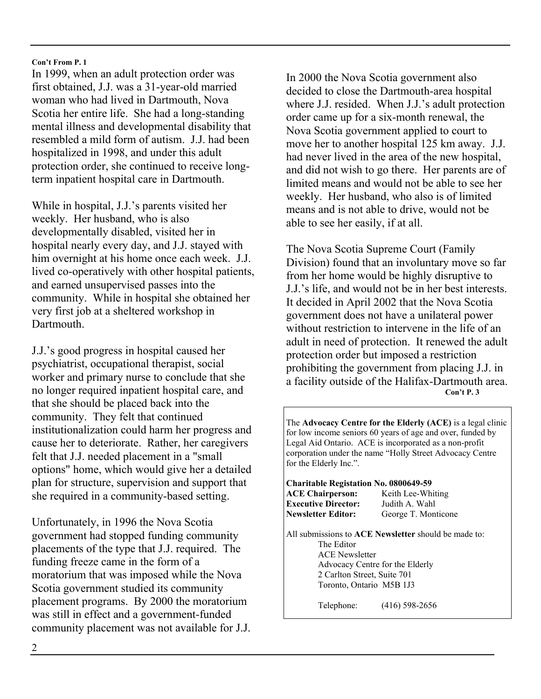In 1999, when an adult protection order was first obtained, J.J. was a 31-year-old married woman who had lived in Dartmouth, Nova Scotia her entire life. She had a long-standing mental illness and developmental disability that resembled a mild form of autism. J.J. had been hospitalized in 1998, and under this adult protection order, she continued to receive longterm inpatient hospital care in Dartmouth.

While in hospital, J.J.'s parents visited her weekly. Her husband, who is also developmentally disabled, visited her in hospital nearly every day, and J.J. stayed with him overnight at his home once each week. J.J. lived co-operatively with other hospital patients, and earned unsupervised passes into the community. While in hospital she obtained her very first job at a sheltered workshop in Dartmouth.

J.J.'s good progress in hospital caused her psychiatrist, occupational therapist, social worker and primary nurse to conclude that she no longer required inpatient hospital care, and that she should be placed back into the community. They felt that continued institutionalization could harm her progress and cause her to deteriorate. Rather, her caregivers felt that J.J. needed placement in a "small options" home, which would give her a detailed plan for structure, supervision and support that she required in a community-based setting.

Unfortunately, in 1996 the Nova Scotia government had stopped funding community placements of the type that J.J. required. The funding freeze came in the form of a moratorium that was imposed while the Nova Scotia government studied its community placement programs. By 2000 the moratorium was still in effect and a government-funded community placement was not available for J.J.

In 2000 the Nova Scotia government also decided to close the Dartmouth-area hospital where J.J. resided. When J.J.'s adult protection order came up for a six-month renewal, the Nova Scotia government applied to court to move her to another hospital 125 km away. J.J. had never lived in the area of the new hospital, and did not wish to go there. Her parents are of limited means and would not be able to see her weekly. Her husband, who also is of limited means and is not able to drive, would not be able to see her easily, if at all.

The Nova Scotia Supreme Court (Family Division) found that an involuntary move so far from her home would be highly disruptive to J.J.'s life, and would not be in her best interests. It decided in April 2002 that the Nova Scotia government does not have a unilateral power without restriction to intervene in the life of an adult in need of protection. It renewed the adult protection order but imposed a restriction prohibiting the government from placing J.J. in a facility outside of the Halifax-Dartmouth area.  **Con't P. 3** 

The **Advocacy Centre for the Elderly (ACE)** is a legal clinic for low income seniors 60 years of age and over, funded by Legal Aid Ontario. ACE is incorporated as a non-profit corporation under the name "Holly Street Advocacy Centre for the Elderly Inc.".

**Charitable Registation No. 0800649-59** 

**ACE Chairperson:** Keith Lee-Whiting **Executive Director:** Judith A. Wahl

**Newsletter Editor:** George T. Monticone

All submissions to **ACE Newsletter** should be made to: The Editor ACE Newsletter Advocacy Centre for the Elderly 2 Carlton Street, Suite 701 Toronto, Ontario M5B 1J3

Telephone: (416) 598-2656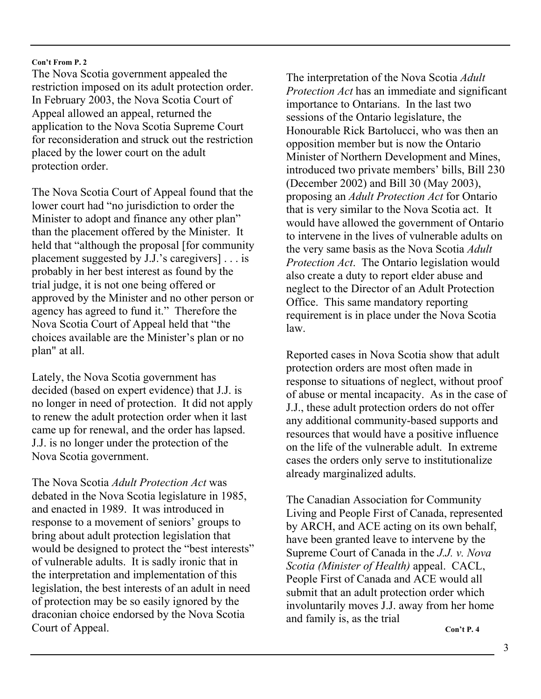The Nova Scotia government appealed the restriction imposed on its adult protection order. In February 2003, the Nova Scotia Court of Appeal allowed an appeal, returned the application to the Nova Scotia Supreme Court for reconsideration and struck out the restriction placed by the lower court on the adult protection order.

The Nova Scotia Court of Appeal found that the lower court had "no jurisdiction to order the Minister to adopt and finance any other plan" than the placement offered by the Minister. It held that "although the proposal [for community placement suggested by J.J.'s caregivers] . . . is probably in her best interest as found by the trial judge, it is not one being offered or approved by the Minister and no other person or agency has agreed to fund it." Therefore the Nova Scotia Court of Appeal held that "the choices available are the Minister's plan or no plan" at all.

Lately, the Nova Scotia government has decided (based on expert evidence) that J.J. is no longer in need of protection. It did not apply to renew the adult protection order when it last came up for renewal, and the order has lapsed. J.J. is no longer under the protection of the Nova Scotia government.

The Nova Scotia *Adult Protection Act* was debated in the Nova Scotia legislature in 1985, and enacted in 1989. It was introduced in response to a movement of seniors' groups to bring about adult protection legislation that would be designed to protect the "best interests" of vulnerable adults. It is sadly ironic that in the interpretation and implementation of this legislation, the best interests of an adult in need of protection may be so easily ignored by the draconian choice endorsed by the Nova Scotia Court of Appeal.

The interpretation of the Nova Scotia *Adult Protection Act* has an immediate and significant importance to Ontarians. In the last two sessions of the Ontario legislature, the Honourable Rick Bartolucci, who was then an opposition member but is now the Ontario Minister of Northern Development and Mines, introduced two private members' bills, Bill 230 (December 2002) and Bill 30 (May 2003), proposing an *Adult Protection Act* for Ontario that is very similar to the Nova Scotia act. It would have allowed the government of Ontario to intervene in the lives of vulnerable adults on the very same basis as the Nova Scotia *Adult Protection Act*. The Ontario legislation would also create a duty to report elder abuse and neglect to the Director of an Adult Protection Office. This same mandatory reporting requirement is in place under the Nova Scotia law.

Reported cases in Nova Scotia show that adult protection orders are most often made in response to situations of neglect, without proof of abuse or mental incapacity. As in the case of J.J., these adult protection orders do not offer any additional community-based supports and resources that would have a positive influence on the life of the vulnerable adult. In extreme cases the orders only serve to institutionalize already marginalized adults.

The Canadian Association for Community Living and People First of Canada, represented by ARCH, and ACE acting on its own behalf, have been granted leave to intervene by the Supreme Court of Canada in the *J.J. v. Nova Scotia (Minister of Health)* appeal. CACL, People First of Canada and ACE would all submit that an adult protection order which involuntarily moves J.J. away from her home and family is, as the trial

**Con't P. 4**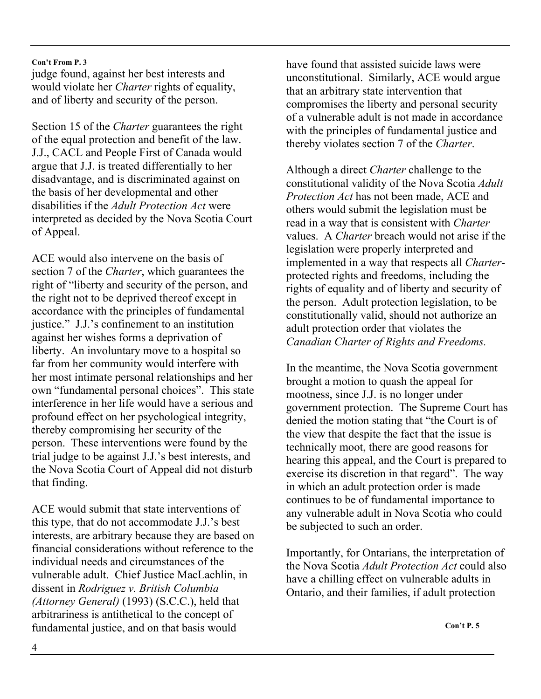judge found, against her best interests and would violate her *Charter* rights of equality, and of liberty and security of the person.

Section 15 of the *Charter* guarantees the right of the equal protection and benefit of the law. J.J., CACL and People First of Canada would argue that J.J. is treated differentially to her disadvantage, and is discriminated against on the basis of her developmental and other disabilities if the *Adult Protection Act* were interpreted as decided by the Nova Scotia Court of Appeal.

ACE would also intervene on the basis of section 7 of the *Charter*, which guarantees the right of "liberty and security of the person, and the right not to be deprived thereof except in accordance with the principles of fundamental justice." J.J.'s confinement to an institution against her wishes forms a deprivation of liberty. An involuntary move to a hospital so far from her community would interfere with her most intimate personal relationships and her own "fundamental personal choices". This state interference in her life would have a serious and profound effect on her psychological integrity, thereby compromising her security of the person. These interventions were found by the trial judge to be against J.J.'s best interests, and the Nova Scotia Court of Appeal did not disturb that finding.

ACE would submit that state interventions of this type, that do not accommodate J.J.'s best interests, are arbitrary because they are based on financial considerations without reference to the individual needs and circumstances of the vulnerable adult. Chief Justice MacLachlin, in dissent in *Rodriguez v. British Columbia (Attorney General)* (1993) (S.C.C.), held that arbitrariness is antithetical to the concept of fundamental justice, and on that basis would

have found that assisted suicide laws were unconstitutional. Similarly, ACE would argue that an arbitrary state intervention that compromises the liberty and personal security of a vulnerable adult is not made in accordance with the principles of fundamental justice and thereby violates section 7 of the *Charter*.

Although a direct *Charter* challenge to the constitutional validity of the Nova Scotia *Adult Protection Act* has not been made, ACE and others would submit the legislation must be read in a way that is consistent with *Charter*  values. A *Charter* breach would not arise if the legislation were properly interpreted and implemented in a way that respects all *Charter*protected rights and freedoms, including the rights of equality and of liberty and security of the person. Adult protection legislation, to be constitutionally valid, should not authorize an adult protection order that violates the *Canadian Charter of Rights and Freedoms.*

In the meantime, the Nova Scotia government brought a motion to quash the appeal for mootness, since J.J. is no longer under government protection. The Supreme Court has denied the motion stating that "the Court is of the view that despite the fact that the issue is technically moot, there are good reasons for hearing this appeal, and the Court is prepared to exercise its discretion in that regard". The way in which an adult protection order is made continues to be of fundamental importance to any vulnerable adult in Nova Scotia who could be subjected to such an order.

Importantly, for Ontarians, the interpretation of the Nova Scotia *Adult Protection Act* could also have a chilling effect on vulnerable adults in Ontario, and their families, if adult protection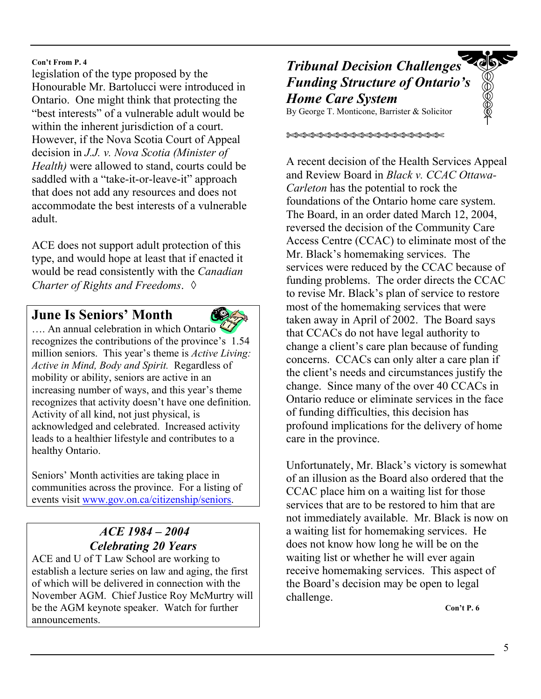legislation of the type proposed by the Honourable Mr. Bartolucci were introduced in Ontario. One might think that protecting the "best interests" of a vulnerable adult would be within the inherent jurisdiction of a court. However, if the Nova Scotia Court of Appeal decision in *J.J. v. Nova Scotia (Minister of Health)* were allowed to stand, courts could be saddled with a "take-it-or-leave-it" approach that does not add any resources and does not accommodate the best interests of a vulnerable adult.

ACE does not support adult protection of this type, and would hope at least that if enacted it would be read consistently with the *Canadian Charter of Rights and Freedoms*. ◊

## **June Is Seniors' Month**



…. An annual celebration in which Ontario recognizes the contributions of the province's 1.54 million seniors. This year's theme is *Active Living: Active in Mind, Body and Spirit.* Regardless of mobility or ability, seniors are active in an increasing number of ways, and this year's theme recognizes that activity doesn't have one definition. Activity of all kind, not just physical, is acknowledged and celebrated. Increased activity leads to a healthier lifestyle and contributes to a healthy Ontario.

Seniors' Month activities are taking place in communities across the province. For a listing of events visit www.gov.on.ca/citizenship/seniors.

## *ACE 1984 – 2004 Celebrating 20 Years*

ACE and U of T Law School are working to establish a lecture series on law and aging, the first of which will be delivered in connection with the November AGM. Chief Justice Roy McMurtry will be the AGM keynote speaker. Watch for further announcements.

## BOOK *Tribunal Decision Challenges Funding Structure of Ontario's Home Care System*

By George T. Monticone, Barrister & Solicitor

✄✄✄✄✄✄✄✄✄✄✄✄✄✄✄✄✄✄✄

A recent decision of the Health Services Appeal and Review Board in *Black v. CCAC Ottawa-Carleton* has the potential to rock the foundations of the Ontario home care system. The Board, in an order dated March 12, 2004, reversed the decision of the Community Care Access Centre (CCAC) to eliminate most of the Mr. Black's homemaking services. The services were reduced by the CCAC because of funding problems. The order directs the CCAC to revise Mr. Black's plan of service to restore most of the homemaking services that were taken away in April of 2002. The Board says

that CCACs do not have legal authority to change a client's care plan because of funding concerns. CCACs can only alter a care plan if the client's needs and circumstances justify the change. Since many of the over 40 CCACs in Ontario reduce or eliminate services in the face of funding difficulties, this decision has profound implications for the delivery of home care in the province.

Unfortunately, Mr. Black's victory is somewhat of an illusion as the Board also ordered that the CCAC place him on a waiting list for those services that are to be restored to him that are not immediately available. Mr. Black is now on a waiting list for homemaking services. He does not know how long he will be on the waiting list or whether he will ever again receive homemaking services. This aspect of the Board's decision may be open to legal challenge.

 **Con't P. 6**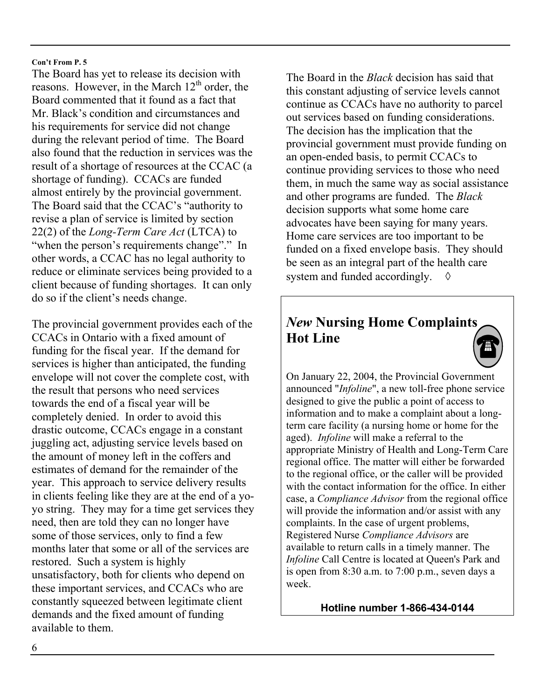The Board has yet to release its decision with reasons. However, in the March  $12<sup>th</sup>$  order, the Board commented that it found as a fact that Mr. Black's condition and circumstances and his requirements for service did not change during the relevant period of time. The Board also found that the reduction in services was the result of a shortage of resources at the CCAC (a shortage of funding). CCACs are funded almost entirely by the provincial government. The Board said that the CCAC's "authority to revise a plan of service is limited by section 22(2) of the *Long-Term Care Act* (LTCA) to "when the person's requirements change"." In other words, a CCAC has no legal authority to reduce or eliminate services being provided to a client because of funding shortages. It can only do so if the client's needs change.

The provincial government provides each of the CCACs in Ontario with a fixed amount of funding for the fiscal year. If the demand for services is higher than anticipated, the funding envelope will not cover the complete cost, with the result that persons who need services towards the end of a fiscal year will be completely denied. In order to avoid this drastic outcome, CCACs engage in a constant juggling act, adjusting service levels based on the amount of money left in the coffers and estimates of demand for the remainder of the year. This approach to service delivery results in clients feeling like they are at the end of a yoyo string. They may for a time get services they need, then are told they can no longer have some of those services, only to find a few months later that some or all of the services are restored. Such a system is highly unsatisfactory, both for clients who depend on these important services, and CCACs who are constantly squeezed between legitimate client demands and the fixed amount of funding available to them.

The Board in the *Black* decision has said that this constant adjusting of service levels cannot continue as CCACs have no authority to parcel out services based on funding considerations. The decision has the implication that the provincial government must provide funding on an open-ended basis, to permit CCACs to continue providing services to those who need them, in much the same way as social assistance and other programs are funded. The *Black* decision supports what some home care advocates have been saying for many years. Home care services are too important to be funded on a fixed envelope basis. They should be seen as an integral part of the health care system and funded accordingly.  $\diamond$ 

# *New* **Nursing Home Complaints Hot Line**



On January 22, 2004, the Provincial Government announced "*Infoline*", a new toll-free phone service designed to give the public a point of access to information and to make a complaint about a longterm care facility (a nursing home or home for the aged). *Infoline* will make a referral to the appropriate Ministry of Health and Long-Term Care regional office. The matter will either be forwarded to the regional office, or the caller will be provided with the contact information for the office. In either case, a *Compliance Advisor* from the regional office will provide the information and/or assist with any complaints. In the case of urgent problems, Registered Nurse *Compliance Advisors* are available to return calls in a timely manner. The *Infoline* Call Centre is located at Queen's Park and is open from 8:30 a.m. to 7:00 p.m., seven days a week.

**Hotline number 1-866-434-0144**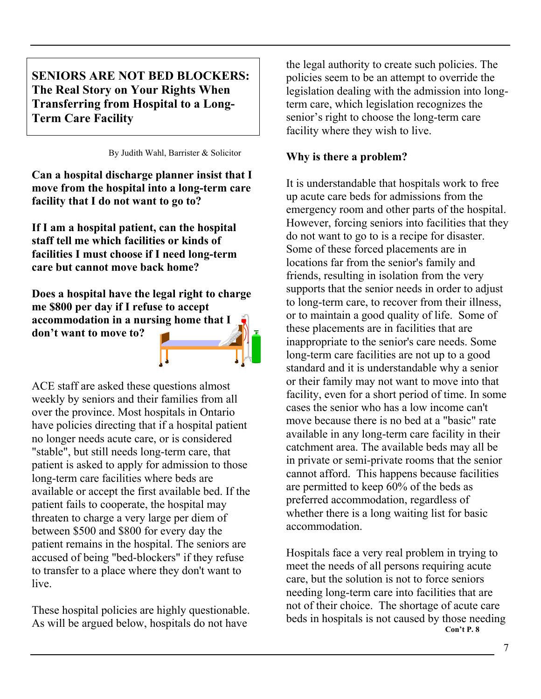**SENIORS ARE NOT BED BLOCKERS: The Real Story on Your Rights When Transferring from Hospital to a Long-Term Care Facility** 

By Judith Wahl, Barrister & Solicitor

**Can a hospital discharge planner insist that I move from the hospital into a long-term care facility that I do not want to go to?** 

**If I am a hospital patient, can the hospital staff tell me which facilities or kinds of facilities I must choose if I need long-term care but cannot move back home?** 

**Does a hospital have the legal right to charge me \$800 per day if I refuse to accept accommodation in a nursing home that I don't want to move to?** 



ACE staff are asked these questions almost weekly by seniors and their families from all over the province. Most hospitals in Ontario have policies directing that if a hospital patient no longer needs acute care, or is considered "stable", but still needs long-term care, that patient is asked to apply for admission to those long-term care facilities where beds are available or accept the first available bed. If the patient fails to cooperate, the hospital may threaten to charge a very large per diem of between \$500 and \$800 for every day the patient remains in the hospital. The seniors are accused of being "bed-blockers" if they refuse to transfer to a place where they don't want to live.

These hospital policies are highly questionable. As will be argued below, hospitals do not have

the legal authority to create such policies. The policies seem to be an attempt to override the legislation dealing with the admission into longterm care, which legislation recognizes the senior's right to choose the long-term care facility where they wish to live.

## **Why is there a problem?**

It is understandable that hospitals work to free up acute care beds for admissions from the emergency room and other parts of the hospital. However, forcing seniors into facilities that they do not want to go to is a recipe for disaster. Some of these forced placements are in locations far from the senior's family and friends, resulting in isolation from the very supports that the senior needs in order to adjust to long-term care, to recover from their illness, or to maintain a good quality of life. Some of these placements are in facilities that are inappropriate to the senior's care needs. Some long-term care facilities are not up to a good standard and it is understandable why a senior or their family may not want to move into that facility, even for a short period of time. In some cases the senior who has a low income can't move because there is no bed at a "basic" rate available in any long-term care facility in their catchment area. The available beds may all be in private or semi-private rooms that the senior cannot afford. This happens because facilities are permitted to keep 60% of the beds as preferred accommodation, regardless of whether there is a long waiting list for basic accommodation.

Hospitals face a very real problem in trying to meet the needs of all persons requiring acute care, but the solution is not to force seniors needing long-term care into facilities that are not of their choice. The shortage of acute care beds in hospitals is not caused by those needing **Con't P. 8**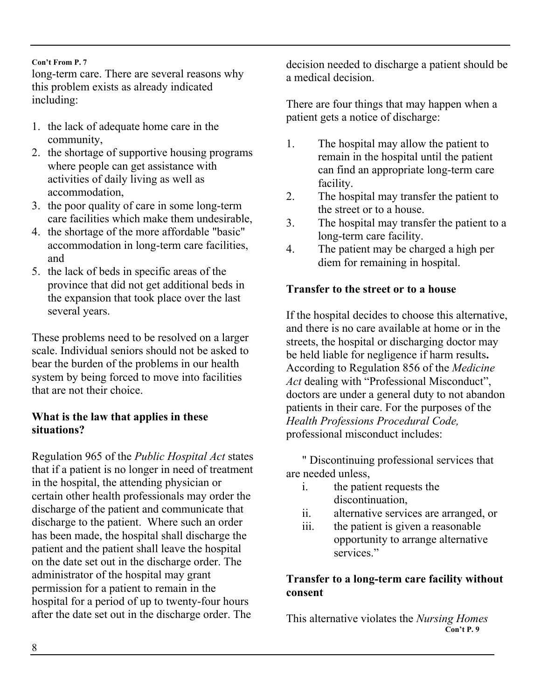long-term care. There are several reasons why this problem exists as already indicated including:

- 1. the lack of adequate home care in the community,
- 2. the shortage of supportive housing programs where people can get assistance with activities of daily living as well as accommodation,
- 3. the poor quality of care in some long-term care facilities which make them undesirable,
- 4. the shortage of the more affordable "basic" accommodation in long-term care facilities, and
- 5. the lack of beds in specific areas of the province that did not get additional beds in the expansion that took place over the last several years.

These problems need to be resolved on a larger scale. Individual seniors should not be asked to bear the burden of the problems in our health system by being forced to move into facilities that are not their choice.

## **What is the law that applies in these situations?**

Regulation 965 of the *Public Hospital Act* states that if a patient is no longer in need of treatment in the hospital, the attending physician or certain other health professionals may order the discharge of the patient and communicate that discharge to the patient. Where such an order has been made, the hospital shall discharge the patient and the patient shall leave the hospital on the date set out in the discharge order. The administrator of the hospital may grant permission for a patient to remain in the hospital for a period of up to twenty-four hours after the date set out in the discharge order. The

decision needed to discharge a patient should be a medical decision.

There are four things that may happen when a patient gets a notice of discharge:

- 1. The hospital may allow the patient to remain in the hospital until the patient can find an appropriate long-term care facility.
- 2. The hospital may transfer the patient to the street or to a house.
- 3. The hospital may transfer the patient to a long-term care facility.
- 4. The patient may be charged a high per diem for remaining in hospital.

## **Transfer to the street or to a house**

If the hospital decides to choose this alternative, and there is no care available at home or in the streets, the hospital or discharging doctor may be held liable for negligence if harm results**.**  According to Regulation 856 of the *Medicine Act* dealing with "Professional Misconduct", doctors are under a general duty to not abandon patients in their care. For the purposes of the *Health Professions Procedural Code,*  professional misconduct includes:

" Discontinuing professional services that are needed unless,

- i. the patient requests the discontinuation,
- ii. alternative services are arranged, or
- iii. the patient is given a reasonable opportunity to arrange alternative services."

## **Transfer to a long-term care facility without consent**

This alternative violates the *Nursing Homes*  **Con't P. 9**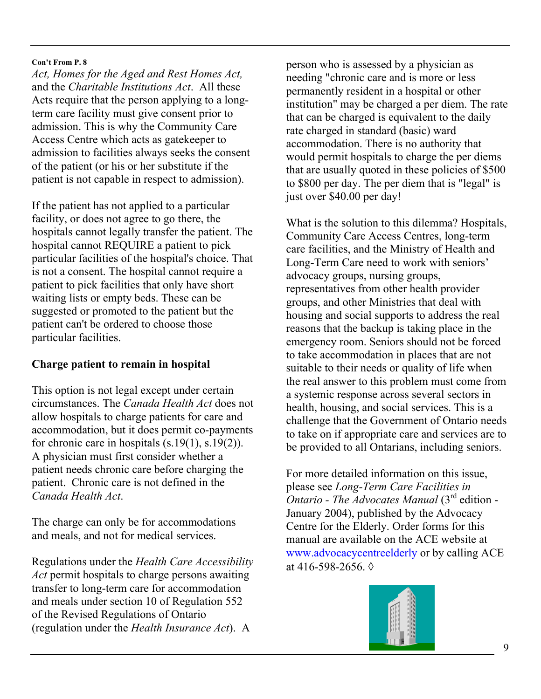*Act, Homes for the Aged and Rest Homes Act,*  and the *Charitable Institutions Act*. All these Acts require that the person applying to a longterm care facility must give consent prior to admission. This is why the Community Care Access Centre which acts as gatekeeper to admission to facilities always seeks the consent of the patient (or his or her substitute if the patient is not capable in respect to admission).

If the patient has not applied to a particular facility, or does not agree to go there, the hospitals cannot legally transfer the patient. The hospital cannot REQUIRE a patient to pick particular facilities of the hospital's choice. That is not a consent. The hospital cannot require a patient to pick facilities that only have short waiting lists or empty beds. These can be suggested or promoted to the patient but the patient can't be ordered to choose those particular facilities.

## **Charge patient to remain in hospital**

This option is not legal except under certain circumstances. The *Canada Health Act* does not allow hospitals to charge patients for care and accommodation, but it does permit co-payments for chronic care in hospitals (s.19(1), s.19(2)). A physician must first consider whether a patient needs chronic care before charging the patient. Chronic care is not defined in the *Canada Health Act*.

The charge can only be for accommodations and meals, and not for medical services.

Regulations under the *Health Care Accessibility Act* permit hospitals to charge persons awaiting transfer to long-term care for accommodation and meals under section 10 of Regulation 552 of the Revised Regulations of Ontario (regulation under the *Health Insurance Act*). A

person who is assessed by a physician as needing "chronic care and is more or less permanently resident in a hospital or other institution" may be charged a per diem. The rate that can be charged is equivalent to the daily rate charged in standard (basic) ward accommodation. There is no authority that would permit hospitals to charge the per diems that are usually quoted in these policies of \$500 to \$800 per day. The per diem that is "legal" is just over \$40.00 per day!

What is the solution to this dilemma? Hospitals, Community Care Access Centres, long-term care facilities, and the Ministry of Health and Long-Term Care need to work with seniors' advocacy groups, nursing groups, representatives from other health provider groups, and other Ministries that deal with housing and social supports to address the real reasons that the backup is taking place in the emergency room. Seniors should not be forced to take accommodation in places that are not suitable to their needs or quality of life when the real answer to this problem must come from a systemic response across several sectors in health, housing, and social services. This is a challenge that the Government of Ontario needs to take on if appropriate care and services are to be provided to all Ontarians, including seniors.

For more detailed information on this issue, please see *Long-Term Care Facilities in Ontario - The Advocates Manual* (3rd edition - January 2004), published by the Advocacy Centre for the Elderly. Order forms for this manual are available on the ACE website at www.advocacycentreelderly or by calling ACE at 416-598-2656.  $\Diamond$ 

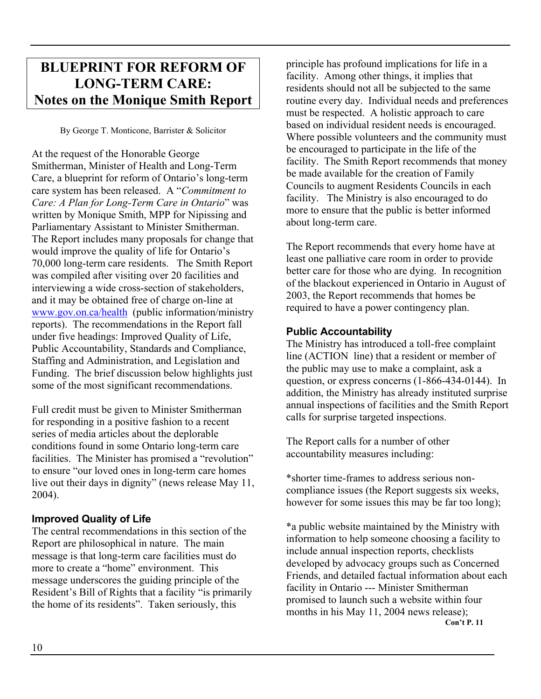# **BLUEPRINT FOR REFORM OF LONG-TERM CARE: Notes on the Monique Smith Report**

By George T. Monticone, Barrister & Solicitor

At the request of the Honorable George Smitherman, Minister of Health and Long-Term Care, a blueprint for reform of Ontario's long-term care system has been released. A "*Commitment to Care: A Plan for Long-Term Care in Ontario*" was written by Monique Smith, MPP for Nipissing and Parliamentary Assistant to Minister Smitherman. The Report includes many proposals for change that would improve the quality of life for Ontario's 70,000 long-term care residents. The Smith Report was compiled after visiting over 20 facilities and interviewing a wide cross-section of stakeholders, and it may be obtained free of charge on-line at www.gov.on.ca/health (public information/ministry reports). The recommendations in the Report fall under five headings: Improved Quality of Life, Public Accountability, Standards and Compliance, Staffing and Administration, and Legislation and Funding. The brief discussion below highlights just some of the most significant recommendations.

Full credit must be given to Minister Smitherman for responding in a positive fashion to a recent series of media articles about the deplorable conditions found in some Ontario long-term care facilities. The Minister has promised a "revolution" to ensure "our loved ones in long-term care homes live out their days in dignity" (news release May 11, 2004).

## **Improved Quality of Life**

The central recommendations in this section of the Report are philosophical in nature. The main message is that long-term care facilities must do more to create a "home" environment. This message underscores the guiding principle of the Resident's Bill of Rights that a facility "is primarily the home of its residents". Taken seriously, this

principle has profound implications for life in a facility. Among other things, it implies that residents should not all be subjected to the same routine every day. Individual needs and preferences must be respected. A holistic approach to care based on individual resident needs is encouraged. Where possible volunteers and the community must be encouraged to participate in the life of the facility. The Smith Report recommends that money be made available for the creation of Family Councils to augment Residents Councils in each facility. The Ministry is also encouraged to do more to ensure that the public is better informed about long-term care.

The Report recommends that every home have at least one palliative care room in order to provide better care for those who are dying. In recognition of the blackout experienced in Ontario in August of 2003, the Report recommends that homes be required to have a power contingency plan.

## **Public Accountability**

The Ministry has introduced a toll-free complaint line (ACTION line) that a resident or member of the public may use to make a complaint, ask a question, or express concerns (1-866-434-0144). In addition, the Ministry has already instituted surprise annual inspections of facilities and the Smith Report calls for surprise targeted inspections.

The Report calls for a number of other accountability measures including:

\*shorter time-frames to address serious noncompliance issues (the Report suggests six weeks, however for some issues this may be far too long);

\*a public website maintained by the Ministry with information to help someone choosing a facility to include annual inspection reports, checklists developed by advocacy groups such as Concerned Friends, and detailed factual information about each facility in Ontario --- Minister Smitherman promised to launch such a website within four months in his May 11, 2004 news release); **Con't P. 11**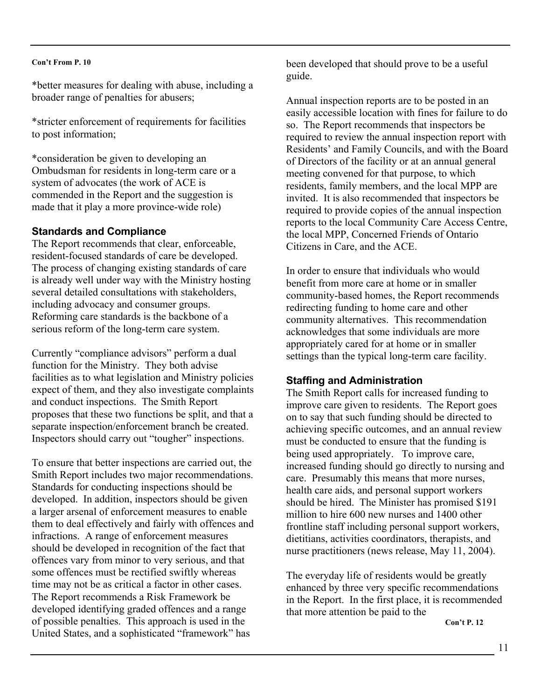\*better measures for dealing with abuse, including a broader range of penalties for abusers;

\*stricter enforcement of requirements for facilities to post information;

\*consideration be given to developing an Ombudsman for residents in long-term care or a system of advocates (the work of ACE is commended in the Report and the suggestion is made that it play a more province-wide role)

#### **Standards and Compliance**

The Report recommends that clear, enforceable, resident-focused standards of care be developed. The process of changing existing standards of care is already well under way with the Ministry hosting several detailed consultations with stakeholders, including advocacy and consumer groups. Reforming care standards is the backbone of a serious reform of the long-term care system.

Currently "compliance advisors" perform a dual function for the Ministry. They both advise facilities as to what legislation and Ministry policies expect of them, and they also investigate complaints and conduct inspections. The Smith Report proposes that these two functions be split, and that a separate inspection/enforcement branch be created. Inspectors should carry out "tougher" inspections.

To ensure that better inspections are carried out, the Smith Report includes two major recommendations. Standards for conducting inspections should be developed. In addition, inspectors should be given a larger arsenal of enforcement measures to enable them to deal effectively and fairly with offences and infractions. A range of enforcement measures should be developed in recognition of the fact that offences vary from minor to very serious, and that some offences must be rectified swiftly whereas time may not be as critical a factor in other cases. The Report recommends a Risk Framework be developed identifying graded offences and a range of possible penalties. This approach is used in the United States, and a sophisticated "framework" has

been developed that should prove to be a useful guide.

Annual inspection reports are to be posted in an easily accessible location with fines for failure to do so. The Report recommends that inspectors be required to review the annual inspection report with Residents' and Family Councils, and with the Board of Directors of the facility or at an annual general meeting convened for that purpose, to which residents, family members, and the local MPP are invited. It is also recommended that inspectors be required to provide copies of the annual inspection reports to the local Community Care Access Centre, the local MPP, Concerned Friends of Ontario Citizens in Care, and the ACE.

In order to ensure that individuals who would benefit from more care at home or in smaller community-based homes, the Report recommends redirecting funding to home care and other community alternatives. This recommendation acknowledges that some individuals are more appropriately cared for at home or in smaller settings than the typical long-term care facility.

## **Staffing and Administration**

The Smith Report calls for increased funding to improve care given to residents. The Report goes on to say that such funding should be directed to achieving specific outcomes, and an annual review must be conducted to ensure that the funding is being used appropriately. To improve care, increased funding should go directly to nursing and care. Presumably this means that more nurses, health care aids, and personal support workers should be hired. The Minister has promised \$191 million to hire 600 new nurses and 1400 other frontline staff including personal support workers, dietitians, activities coordinators, therapists, and nurse practitioners (news release, May 11, 2004).

The everyday life of residents would be greatly enhanced by three very specific recommendations in the Report. In the first place, it is recommended that more attention be paid to the

**Con't P. 12**